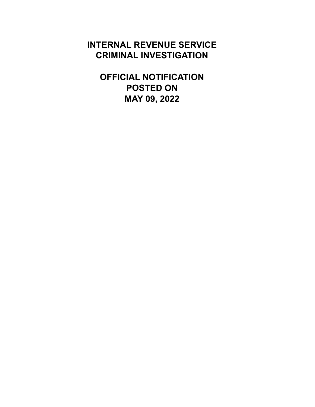# **INTERNAL REVENUE SERVICE CRIMINAL INVESTIGATION**

**OFFICIAL NOTIFICATION POSTED ON MAY 09, 2022**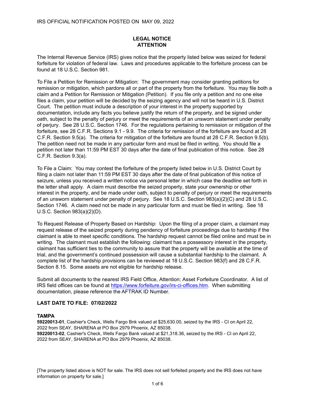The Internal Revenue Service (IRS) gives notice that the property listed below was seized for federal forfeiture for violation of federal law. Laws and procedures applicable to the forfeiture process can be found at 18 U.S.C. Section 981.

To File a Petition for Remission or Mitigation: The government may consider granting petitions for remission or mitigation, which pardons all or part of the property from the forfeiture. You may file both a claim and a Petition for Remission or Mitigation (Petition). If you file only a petition and no one else files a claim, your petition will be decided by the seizing agency and will not be heard in U.S. District Court. The petition must include a description of your interest in the property supported by documentation, include any facts you believe justify the return of the property, and be signed under oath, subject to the penalty of perjury or meet the requirements of an unsworn statement under penalty of perjury. See 28 U.S.C. Section 1746. For the regulations pertaining to remission or mitigation of the forfeiture, see 28 C.F.R. Sections 9.1 - 9.9. The criteria for remission of the forfeiture are found at 28 C.F.R. Section 9.5(a). The criteria for mitigation of the forfeiture are found at 28 C.F.R. Section 9.5(b). The petition need not be made in any particular form and must be filed in writing. You should file a petition not later than 11:59 PM EST 30 days after the date of final publication of this notice. See 28 C.F.R. Section 9.3(a).

To File a Claim: You may contest the forfeiture of the property listed below in U.S. District Court by filing a claim not later than 11:59 PM EST 30 days after the date of final publication of this notice of seizure, unless you received a written notice via personal letter in which case the deadline set forth in the letter shall apply. A claim must describe the seized property, state your ownership or other interest in the property, and be made under oath, subject to penalty of perjury or meet the requirements of an unsworn statement under penalty of perjury. See 18 U.S.C. Section 983(a)(2)(C) and 28 U.S.C. Section 1746. A claim need not be made in any particular form and must be filed in writing. See 18 U.S.C. Section 983(a)(2)(D).

To Request Release of Property Based on Hardship: Upon the filing of a proper claim, a claimant may request release of the seized property during pendency of forfeiture proceedings due to hardship if the claimant is able to meet specific conditions. The hardship request cannot be filed online and must be in writing. The claimant must establish the following: claimant has a possessory interest in the property, claimant has sufficient ties to the community to assure that the property will be available at the time of trial, and the government's continued possession will cause a substantial hardship to the claimant. A complete list of the hardship provisions can be reviewed at 18 U.S.C. Section 983(f) and 28 C.F.R. Section 8.15. Some assets are not eligible for hardship release.

Submit all documents to the nearest IRS Field Office, Attention: Asset Forfeiture Coordinator. A list of IRS field offices can be found at https://www.forfeiture.gov/irs-ci-offices.htm. When submitting documentation, please reference the AFTRAK ID Number.

### **LAST DATE TO FILE: 07/02/2022**

#### **TAMPA**

**59220013-01**, Cashier's Check, Wells Fargo Bnk valued at \$25,630.00, seized by the IRS - CI on April 22, 2022 from SEAY, SHARENA at PO Box 2979 Phoenix, AZ 85038. **59220013-02**, Cashier's Check, Wells Fargo Bank valued at \$21,318.36, seized by the IRS - CI on April 22, 2022 from SEAY, SHARENA at PO Box 2979 Phoenix, AZ 85038.

[The property listed above is NOT for sale. The IRS does not sell forfeited property and the IRS does not have information on property for sale.]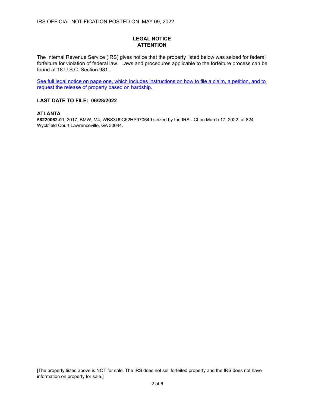The Internal Revenue Service (IRS) gives notice that the property listed below was seized for federal forfeiture for violation of federal law. Laws and procedures applicable to the forfeiture process can be found at 18 U.S.C. Section 981.

See full legal notice on page one, which includes instructions on how to file a claim, a petition, and to request the release of property based on hardship.

### **LAST DATE TO FILE: 06/28/2022**

## **ATLANTA**

**58220062-01**, 2017, BMW, M4, WBS3U9C52HP970649 seized by the IRS - CI on March 17, 2022 at 824 Wyckfield Court Lawrenceville, GA 30044.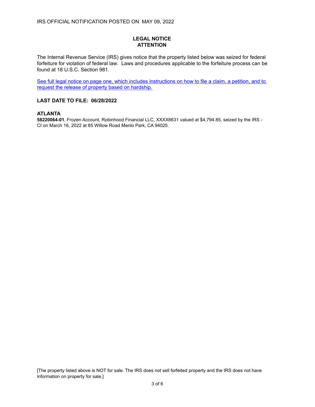The Internal Revenue Service (IRS) gives notice that the property listed below was seized for federal forfeiture for violation of federal law. Laws and procedures applicable to the forfeiture process can be found at 18 U.S.C. Section 981.

See full legal notice on page one, which includes instructions on how to file a claim, a petition, and to request the release of property based on hardship.

### **LAST DATE TO FILE: 06/28/2022**

# **ATLANTA**

**58220064-01**, Frozen Account, Robinhood Financial LLC, XXXX6631 valued at \$4,794.85, seized by the IRS - CI on March 16, 2022 at 85 Willow Road Menlo Park, CA 94025.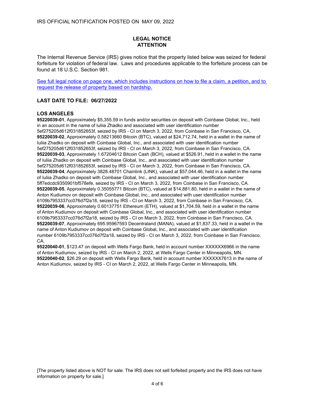The Internal Revenue Service (IRS) gives notice that the property listed below was seized for federal forfeiture for violation of federal law. Laws and procedures applicable to the forfeiture process can be found at 18 U.S.C. Section 981.

See full legal notice on page one, which includes instructions on how to file a claim, a petition, and to request the release of property based on hardship.

#### **LAST DATE TO FILE: 06/27/2022**

#### **LOS ANGELES**

**95220039-01**, Approximately \$5,355.59 in funds and/or securities on deposit with Coinbase Global, Inc., held in an account in the name of Iuliia Zhadko and associated with user identification number 5ef275205d612f031852653f, seized by IRS - CI on March 3, 2022, from Coinbase in San Francisco, CA. **95220039-02**, Approximately 0.58213660 Bitcoin (BTC), valued at \$24,712.74, held in a wallet in the name of Iuliia Zhadko on deposit with Coinbase Global, Inc., and associated with user identification number 5ef275205d612f031852653f, seized by IRS - CI on March 3, 2022, from Coinbase in San Francisco, CA. **95220039-03**, Approximately 1.67204612 Bitcoin Cash (BCH), valued at \$526.91, held in a wallet in the name of Iuliia Zhadko on deposit with Coinbase Global, Inc., and associated with user identification number 5ef275205d612f031852653f, seized by IRS - CI on March 3, 2022, from Coinbase in San Francisco, CA. **95220039-04**, Approximately 3828.48701 Chainlink (LINK), valued at \$57,044.46, held in a wallet in the name of Iuliia Zhadko on deposit with Coinbase Global, Inc., and associated with user identification number 5ff7edcdc9350901bf578efe, seized by IRS - CI on March 3, 2022, from Coinbase in San Francisco, CA. **95220039-05**, Approximately 0.35055771 Bitcoin (BTC), valued at \$14,881.80, held in a wallet in the name of Anton Kudiumov on deposit with Coinbase Global, Inc., and associated with user identification number 6109b7953337cc076d7f2a18, seized by IRS - CI on March 3, 2022, from Coinbase in San Francisco, CA. **95220039-06**, Approximately 0.60137751 Ethereum (ETH), valued at \$1,704.59, held in a wallet in the name of Anton Kudiumov on deposit with Coinbase Global, Inc., and associated with user identification number 6109b7953337cc076d7f2a18, seized by IRS - CI on March 3, 2022, from Coinbase in San Francisco, CA. **95220039-07**, Approximately 695.95967593 Decentraland (MANA), valued at \$1,837.33, held in a wallet in the name of Anton Kudiumov on deposit with Coinbase Global, Inc., and associated with user identification number 6109b7953337cc076d7f2a18, seized by IRS - CI on March 3, 2022, from Coinbase in San Francisco, CA.

**95220040-01**, \$123.47 on deposit with Wells Fargo Bank, held in account number XXXXXX6966 in the name of Anton Kudiumov, seized by IRS - CI on March 2, 2022, at Wells Fargo Center in Minneapolis, MN. **95220040-02**, \$26.29 on deposit with Wells Fargo Bank, held in account number XXXXXX7613 in the name of Anton Kudiumov, seized by IRS - CI on March 2, 2022, at Wells Fargo Center in Minneapolis, MN.

[The property listed above is NOT for sale. The IRS does not sell forfeited property and the IRS does not have information on property for sale.]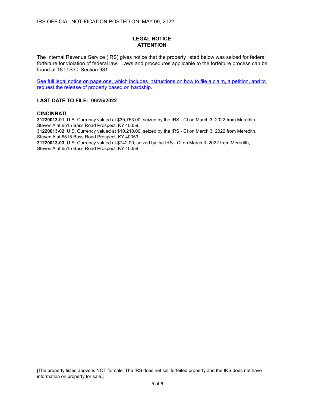The Internal Revenue Service (IRS) gives notice that the property listed below was seized for federal forfeiture for violation of federal law. Laws and procedures applicable to the forfeiture process can be found at 18 U.S.C. Section 981.

See full legal notice on page one, which includes instructions on how to file a claim, a petition, and to request the release of property based on hardship.

#### **LAST DATE TO FILE: 06/25/2022**

#### **CINCINNATI**

**31220013-01**, U.S. Currency valued at \$35,753.00, seized by the IRS - CI on March 3, 2022 from Meredith, Steven A at 6515 Bass Road Prospect, KY 40059.

**31220013-02**, U.S. Currency valued at \$10,210.00, seized by the IRS - CI on March 3, 2022 from Meredith, Steven A at 6515 Bass Road Prospect, KY 40059.

**31220013-03**, U.S. Currency valued at \$742.00, seized by the IRS - CI on March 3, 2022 from Meredith, Steven A at 6515 Bass Road Prospect, KY 40059.